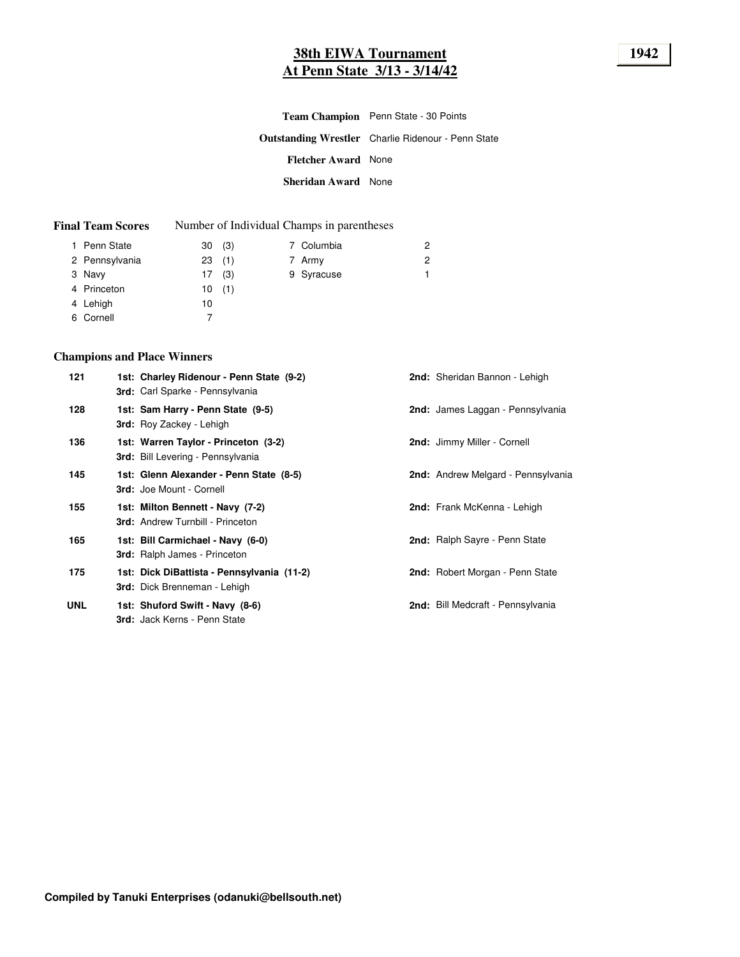# **38th EIWA Tournament 1942 At Penn State 3/13 - 3/14/42**

|                            | <b>Team Champion</b> Penn State - 30 Points               |
|----------------------------|-----------------------------------------------------------|
|                            | <b>Outstanding Wrestler</b> Charlie Ridenour - Penn State |
| <b>Fletcher Award</b> None |                                                           |
| Sheridan Award None        |                                                           |

| <b>Final Team Scores</b> |  | Number of Individual Champs in parentheses |
|--------------------------|--|--------------------------------------------|
|--------------------------|--|--------------------------------------------|

| 1 Penn State   | 30(3) |  | 7 Columbia | 2 |
|----------------|-------|--|------------|---|
| 2 Pennsylvania | 23(1) |  | 7 Army     | 2 |
| 3 Navy         | 17(3) |  | 9 Syracuse | 1 |
| 4 Princeton    | 10(1) |  |            |   |
| 4 Lehigh       | 10    |  |            |   |
| 6 Cornell      |       |  |            |   |
|                |       |  |            |   |

## **Champions and Place Winners**

| 121        | 1st: Charley Ridenour - Penn State (9-2)<br>3rd: Carl Sparke - Pennsylvania       | 2nd: Sheridan Bannon - Lehigh      |
|------------|-----------------------------------------------------------------------------------|------------------------------------|
| 128        | 1st: Sam Harry - Penn State (9-5)<br><b>3rd:</b> Roy Zackey - Lehigh              | 2nd: James Laggan - Pennsylvania   |
| 136        | 1st: Warren Taylor - Princeton (3-2)<br><b>3rd:</b> Bill Levering - Pennsylvania  | 2nd: Jimmy Miller - Cornell        |
| 145        | 1st: Glenn Alexander - Penn State (8-5)<br><b>3rd: Joe Mount - Cornell</b>        | 2nd: Andrew Melgard - Pennsylvania |
| 155        | 1st: Milton Bennett - Navy (7-2)<br><b>3rd: Andrew Turnbill - Princeton</b>       | <b>2nd:</b> Frank McKenna - Lehigh |
| 165        | 1st: Bill Carmichael - Navy (6-0)<br><b>3rd:</b> Ralph James - Princeton          | 2nd: Ralph Sayre - Penn State      |
| 175        | 1st: Dick DiBattista - Pennsylvania (11-2)<br><b>3rd:</b> Dick Brenneman - Lehigh | 2nd: Robert Morgan - Penn State    |
| <b>UNL</b> | 1st: Shuford Swift - Navy (8-6)<br>3rd: Jack Kerns - Penn State                   | 2nd: Bill Medcraft - Pennsylvania  |
|            |                                                                                   |                                    |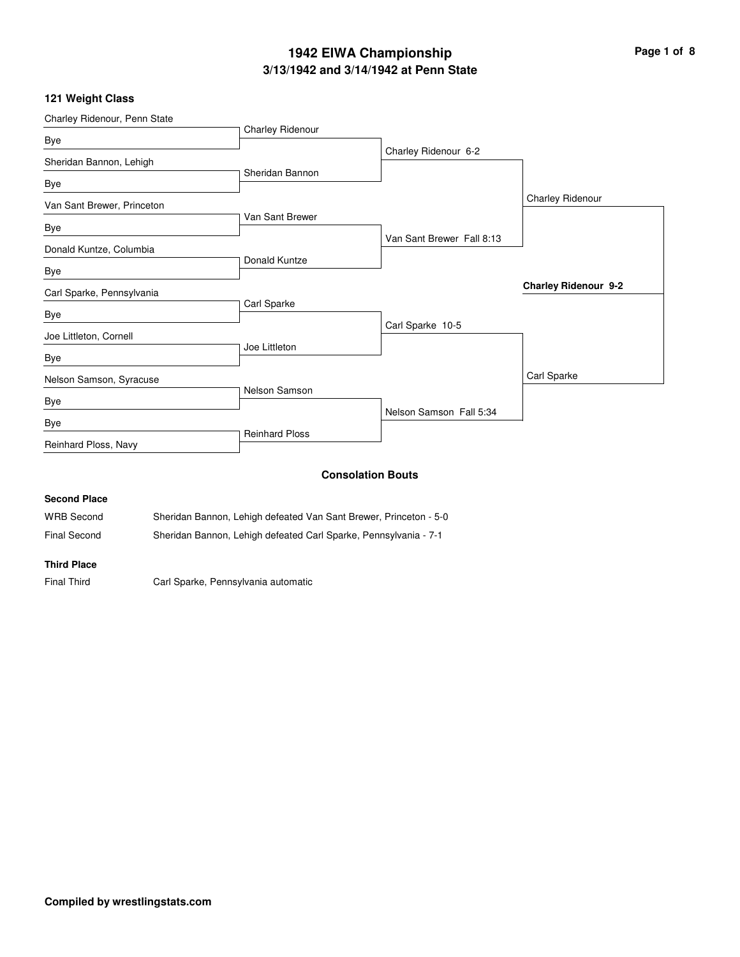## **3/13/1942 and 3/14/1942 at Penn State 1942 EIWA Championship Page 1 of 8**

### **121 Weight Class**

| Charley Ridenour, Penn State |                       |                           |                             |
|------------------------------|-----------------------|---------------------------|-----------------------------|
| Bye                          | Charley Ridenour      |                           |                             |
|                              |                       | Charley Ridenour 6-2      |                             |
| Sheridan Bannon, Lehigh      | Sheridan Bannon       |                           |                             |
| Bye                          |                       |                           |                             |
| Van Sant Brewer, Princeton   |                       |                           | Charley Ridenour            |
|                              | Van Sant Brewer       |                           |                             |
| Bye                          |                       | Van Sant Brewer Fall 8:13 |                             |
| Donald Kuntze, Columbia      | Donald Kuntze         |                           |                             |
| Bye                          |                       |                           |                             |
| Carl Sparke, Pennsylvania    |                       |                           | <b>Charley Ridenour 9-2</b> |
|                              | Carl Sparke           |                           |                             |
| Bye                          |                       | Carl Sparke 10-5          |                             |
| Joe Littleton, Cornell       | Joe Littleton         |                           |                             |
| Bye                          |                       |                           |                             |
| Nelson Samson, Syracuse      |                       |                           | Carl Sparke                 |
| Bye                          | Nelson Samson         |                           |                             |
|                              |                       | Nelson Samson Fall 5:34   |                             |
| Bye                          | <b>Reinhard Ploss</b> |                           |                             |
| Reinhard Ploss, Navy         |                       |                           |                             |
|                              |                       | <b>Consolation Bouts</b>  |                             |
| <b>Second Place</b>          |                       |                           |                             |

WRB Second Sheridan Bannon, Lehigh defeated Van Sant Brewer, Princeton - 5-0

Final Second Sheridan Bannon, Lehigh defeated Carl Sparke, Pennsylvania - 7-1

### **Third Place**

Final Third Carl Sparke, Pennsylvania automatic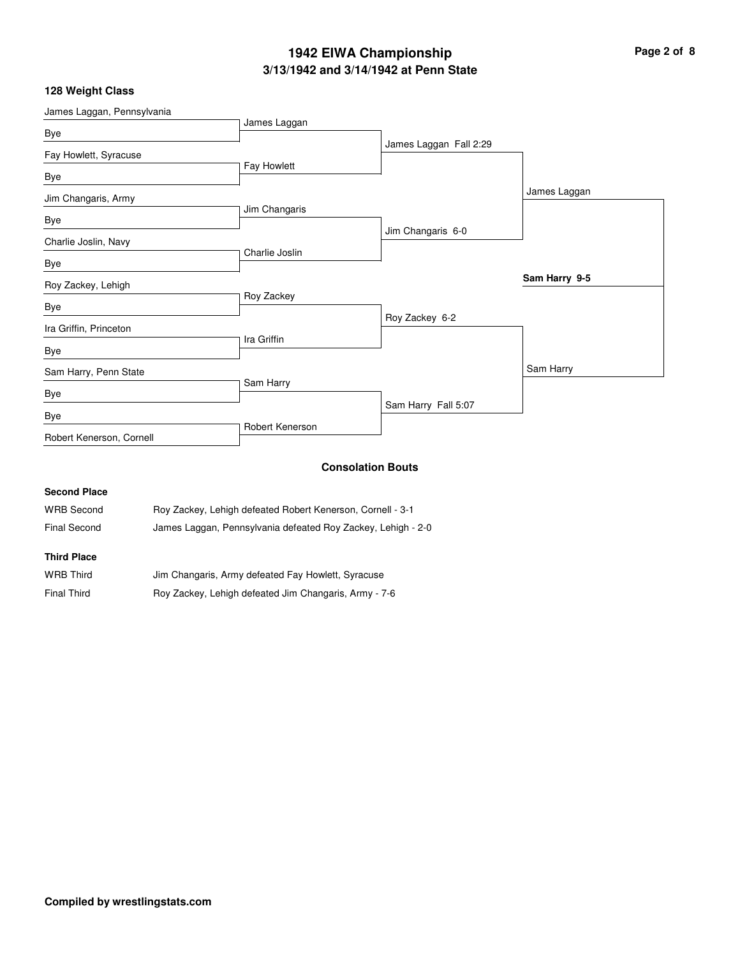# **3/13/1942 and 3/14/1942 at Penn State 1942 EIWA Championship Page 2 of 8**

## **128 Weight Class**

| James Laggan, Pennsylvania |                 |                        |               |
|----------------------------|-----------------|------------------------|---------------|
| Bye                        | James Laggan    |                        |               |
| Fay Howlett, Syracuse      |                 | James Laggan Fall 2:29 |               |
| Bye                        | Fay Howlett     |                        |               |
| Jim Changaris, Army        |                 |                        | James Laggan  |
| Bye                        | Jim Changaris   |                        |               |
| Charlie Joslin, Navy       |                 | Jim Changaris 6-0      |               |
| Bye                        | Charlie Joslin  |                        |               |
| Roy Zackey, Lehigh         |                 |                        | Sam Harry 9-5 |
| Bye                        | Roy Zackey      |                        |               |
|                            |                 | Roy Zackey 6-2         |               |
| Ira Griffin, Princeton     | Ira Griffin     |                        |               |
| Bye                        |                 |                        |               |
| Sam Harry, Penn State      |                 |                        | Sam Harry     |
| Bye                        | Sam Harry       |                        |               |
| Bye                        |                 | Sam Harry Fall 5:07    |               |
| Robert Kenerson, Cornell   | Robert Kenerson |                        |               |
|                            |                 | Concolation Route      |               |

#### **Consolation Bouts**

## **Second Place**

| <b>WRB Second</b> | Roy Zackey, Lehigh defeated Robert Kenerson, Cornell - 3-1 |
|-------------------|------------------------------------------------------------|
|                   |                                                            |

Final Second James Laggan, Pennsylvania defeated Roy Zackey, Lehigh - 2-0

## **Third Place**

| <b>WRB Third</b>   | Jim Changaris, Army defeated Fay Howlett, Syracuse    |
|--------------------|-------------------------------------------------------|
| <b>Final Third</b> | Roy Zackey, Lehigh defeated Jim Changaris, Army - 7-6 |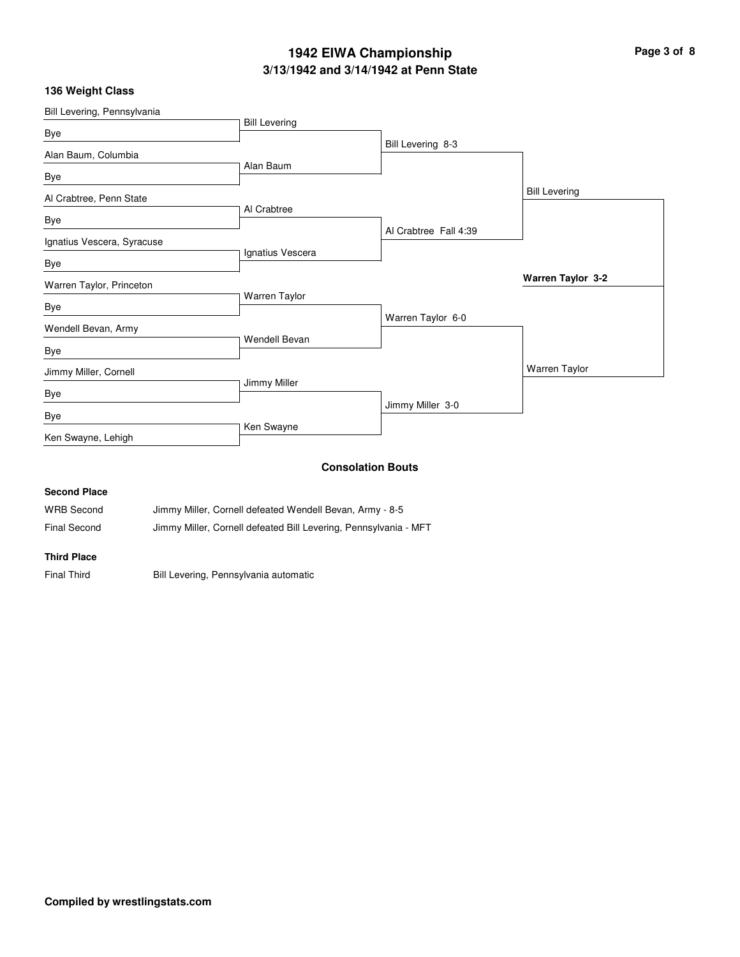# **3/13/1942 and 3/14/1942 at Penn State 1942 EIWA Championship Page 3 of 8**

## **136 Weight Class**

| Bill Levering, Pennsylvania |                      |                          |                      |
|-----------------------------|----------------------|--------------------------|----------------------|
| Bye                         | <b>Bill Levering</b> |                          |                      |
| Alan Baum, Columbia         |                      | Bill Levering 8-3        |                      |
| Bye                         | Alan Baum            |                          |                      |
| Al Crabtree, Penn State     |                      |                          | <b>Bill Levering</b> |
| Bye                         | Al Crabtree          |                          |                      |
| Ignatius Vescera, Syracuse  |                      | Al Crabtree Fall 4:39    |                      |
| Bye                         | Ignatius Vescera     |                          |                      |
| Warren Taylor, Princeton    |                      |                          | Warren Taylor 3-2    |
| Bye                         | Warren Taylor        |                          |                      |
| Wendell Bevan, Army         |                      | Warren Taylor 6-0        |                      |
| Bye                         | <b>Wendell Bevan</b> |                          |                      |
| Jimmy Miller, Cornell       |                      |                          | Warren Taylor        |
| Bye                         | Jimmy Miller         |                          |                      |
| Bye                         |                      | Jimmy Miller 3-0         |                      |
| Ken Swayne, Lehigh          | Ken Swayne           |                          |                      |
|                             |                      | <b>Consolation Bouts</b> |                      |
| <b>Second Place</b>         |                      |                          |                      |

| <b>WRB Second</b> | Jimmy Miller, Cornell defeated Wendell Bevan, Army - 8-5         |
|-------------------|------------------------------------------------------------------|
| Final Second      | Jimmy Miller, Cornell defeated Bill Levering, Pennsylvania - MFT |

**Third Place**

Final Third **Bill Levering, Pennsylvania automatic**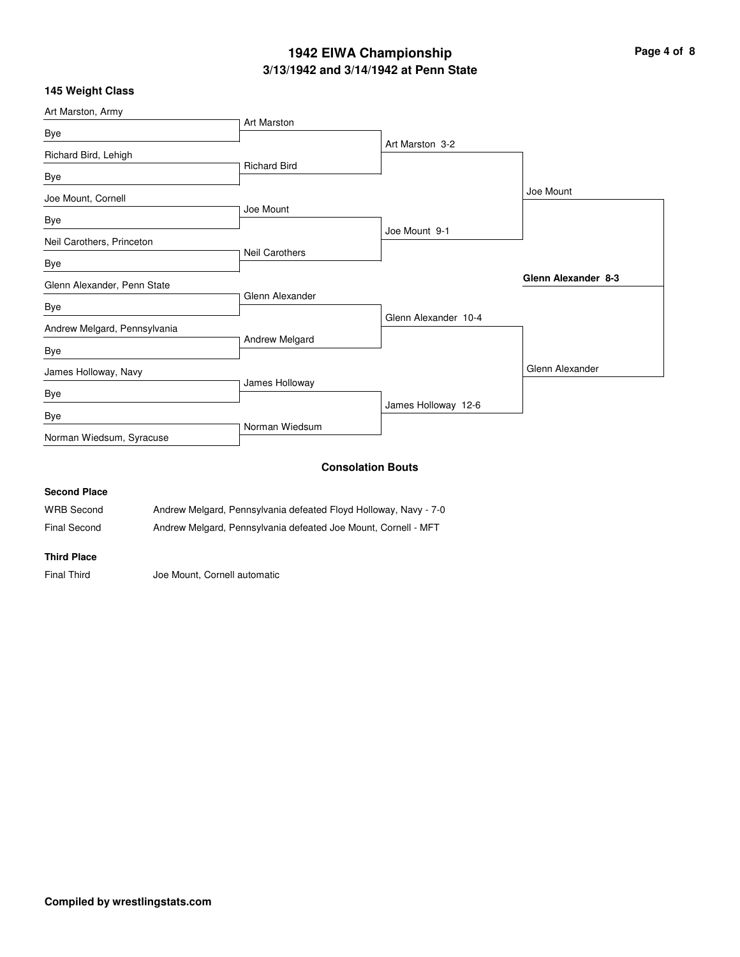# **3/13/1942 and 3/14/1942 at Penn State 1942 EIWA Championship Page 4 of 8**

### **145 Weight Class**

| Art Marston, Army            |                       |                          |                     |
|------------------------------|-----------------------|--------------------------|---------------------|
| Bye                          | <b>Art Marston</b>    |                          |                     |
| Richard Bird, Lehigh         |                       | Art Marston 3-2          |                     |
| Bye                          | <b>Richard Bird</b>   |                          |                     |
| Joe Mount, Cornell           |                       |                          | Joe Mount           |
| Bye                          | Joe Mount             |                          |                     |
| Neil Carothers, Princeton    |                       | Joe Mount 9-1            |                     |
| Bye                          | <b>Neil Carothers</b> |                          |                     |
| Glenn Alexander, Penn State  |                       |                          | Glenn Alexander 8-3 |
| Bye                          | Glenn Alexander       |                          |                     |
| Andrew Melgard, Pennsylvania |                       | Glenn Alexander 10-4     |                     |
| Bye                          | Andrew Melgard        |                          |                     |
| James Holloway, Navy         |                       |                          | Glenn Alexander     |
| Bye                          | James Holloway        |                          |                     |
| Bye                          |                       | James Holloway 12-6      |                     |
| Norman Wiedsum, Syracuse     | Norman Wiedsum        |                          |                     |
|                              |                       | <b>Consolation Bouts</b> |                     |
| <b>Second Place</b>          |                       |                          |                     |

# WRB Second Andrew Melgard, Pennsylvania defeated Floyd Holloway, Navy - 7-0 Final Second Andrew Melgard, Pennsylvania defeated Joe Mount, Cornell - MFT

#### **Third Place**

Final Third Joe Mount, Cornell automatic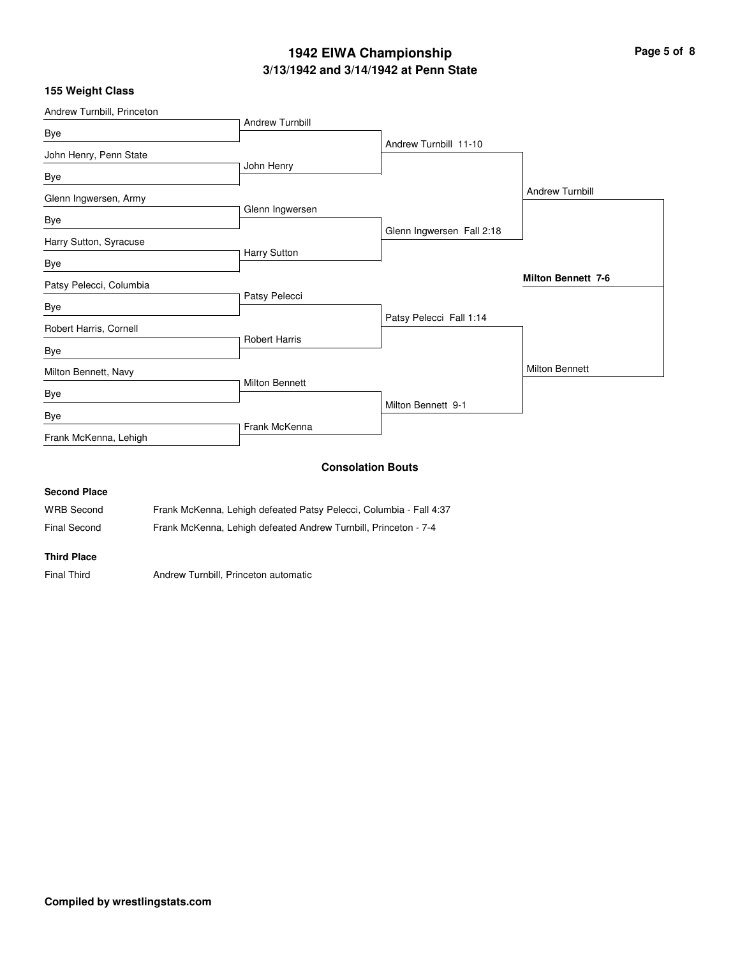# **3/13/1942 and 3/14/1942 at Penn State 1942 EIWA Championship Page 5 of 8**

### **155 Weight Class**

| Andrew Turnbill, Princeton |                        |                           |                           |
|----------------------------|------------------------|---------------------------|---------------------------|
| Bye                        | <b>Andrew Turnbill</b> |                           |                           |
|                            |                        | Andrew Turnbill 11-10     |                           |
| John Henry, Penn State     | John Henry             |                           |                           |
| Bye                        |                        |                           |                           |
| Glenn Ingwersen, Army      |                        |                           | <b>Andrew Turnbill</b>    |
| Bye                        | Glenn Ingwersen        |                           |                           |
|                            |                        | Glenn Ingwersen Fall 2:18 |                           |
| Harry Sutton, Syracuse     | Harry Sutton           |                           |                           |
| Bye                        |                        |                           |                           |
| Patsy Pelecci, Columbia    |                        |                           | <b>Milton Bennett 7-6</b> |
|                            | Patsy Pelecci          |                           |                           |
| Bye                        |                        | Patsy Pelecci Fall 1:14   |                           |
| Robert Harris, Cornell     |                        |                           |                           |
| Bye                        | <b>Robert Harris</b>   |                           |                           |
| Milton Bennett, Navy       |                        |                           | <b>Milton Bennett</b>     |
|                            | <b>Milton Bennett</b>  |                           |                           |
| Bye                        |                        | Milton Bennett 9-1        |                           |
| Bye                        |                        |                           |                           |
| Frank McKenna, Lehigh      | Frank McKenna          |                           |                           |
|                            |                        | <b>Consolation Bouts</b>  |                           |
| <b>Second Place</b>        |                        |                           |                           |

WRB Second Frank McKenna, Lehigh defeated Patsy Pelecci, Columbia - Fall 4:37

Final Second Frank McKenna, Lehigh defeated Andrew Turnbill, Princeton - 7-4

#### **Third Place**

Final Third Andrew Turnbill, Princeton automatic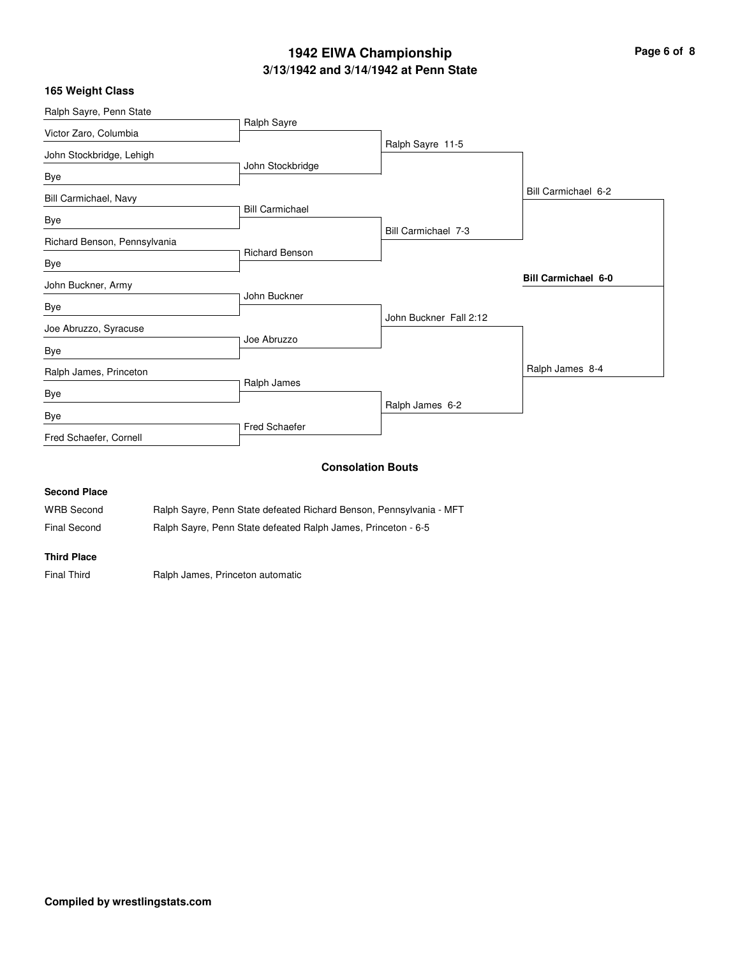# **3/13/1942 and 3/14/1942 at Penn State 1942 EIWA Championship Page 6 of 8**

| 165 Weight Class |  |
|------------------|--|
|------------------|--|

| Ralph Sayre, Penn State      |                        |                          |                            |
|------------------------------|------------------------|--------------------------|----------------------------|
| Victor Zaro, Columbia        | Ralph Sayre            |                          |                            |
|                              |                        | Ralph Sayre 11-5         |                            |
| John Stockbridge, Lehigh     | John Stockbridge       |                          |                            |
| Bye                          |                        |                          |                            |
| Bill Carmichael, Navy        |                        |                          | Bill Carmichael 6-2        |
|                              | <b>Bill Carmichael</b> |                          |                            |
| Bye                          |                        | Bill Carmichael 7-3      |                            |
| Richard Benson, Pennsylvania |                        |                          |                            |
| Bye                          | <b>Richard Benson</b>  |                          |                            |
| John Buckner, Army           |                        |                          | <b>Bill Carmichael 6-0</b> |
|                              | John Buckner           |                          |                            |
| Bye                          |                        | John Buckner Fall 2:12   |                            |
| Joe Abruzzo, Syracuse        |                        |                          |                            |
| Bye                          | Joe Abruzzo            |                          |                            |
| Ralph James, Princeton       |                        |                          | Ralph James 8-4            |
| Bye                          | Ralph James            |                          |                            |
|                              |                        | Ralph James 6-2          |                            |
| Bye                          | Fred Schaefer          |                          |                            |
| Fred Schaefer, Cornell       |                        |                          |                            |
|                              |                        | <b>Consolation Bouts</b> |                            |

#### **Consolation Bouts**

#### **Second Place**

WRB Second Ralph Sayre, Penn State defeated Richard Benson, Pennsylvania - MFT

Final Second Ralph Sayre, Penn State defeated Ralph James, Princeton - 6-5

#### **Third Place**

Final Third **Ralph James, Princeton automatic**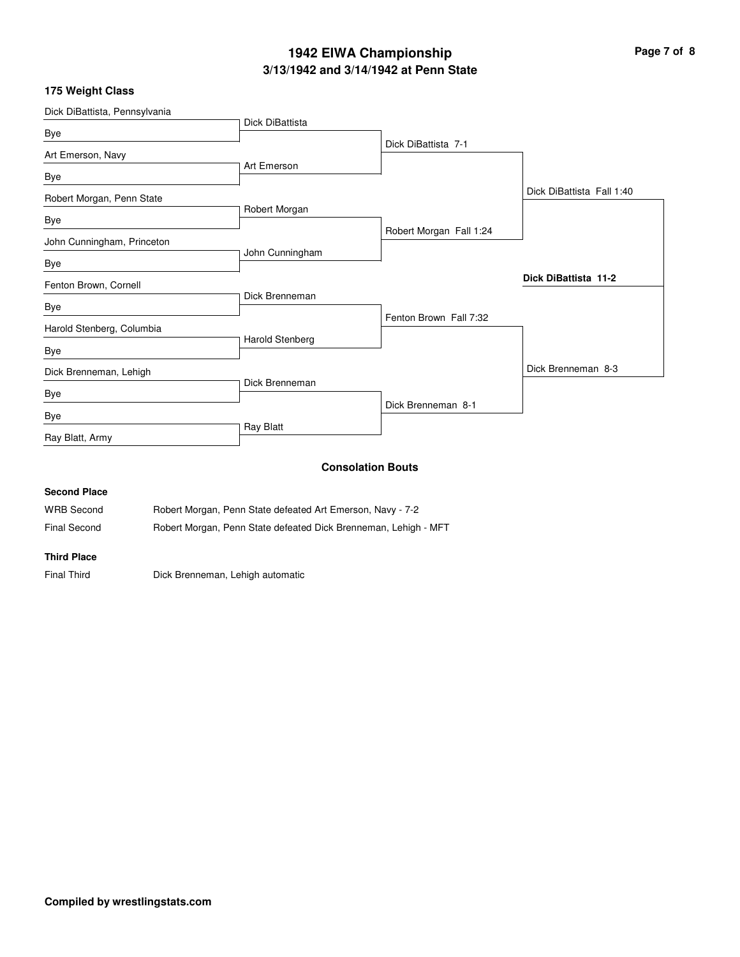# **3/13/1942 and 3/14/1942 at Penn State 1942 EIWA Championship Page 7 of 8**

## **175 Weight Class**

| Dick DiBattista, Pennsylvania |                 |                          |                           |
|-------------------------------|-----------------|--------------------------|---------------------------|
| Bye                           | Dick DiBattista |                          |                           |
|                               |                 | Dick DiBattista 7-1      |                           |
| Art Emerson, Navy             | Art Emerson     |                          |                           |
| Bye                           |                 |                          |                           |
| Robert Morgan, Penn State     |                 |                          | Dick DiBattista Fall 1:40 |
|                               | Robert Morgan   |                          |                           |
| Bye                           |                 | Robert Morgan Fall 1:24  |                           |
| John Cunningham, Princeton    |                 |                          |                           |
| Bye                           | John Cunningham |                          |                           |
| Fenton Brown, Cornell         |                 |                          | Dick DiBattista 11-2      |
| Bye                           | Dick Brenneman  |                          |                           |
|                               |                 | Fenton Brown Fall 7:32   |                           |
| Harold Stenberg, Columbia     | Harold Stenberg |                          |                           |
| Bye                           |                 |                          |                           |
| Dick Brenneman, Lehigh        |                 |                          | Dick Brenneman 8-3        |
| Bye                           | Dick Brenneman  |                          |                           |
|                               |                 | Dick Brenneman 8-1       |                           |
| Bye                           | Ray Blatt       |                          |                           |
| Ray Blatt, Army               |                 |                          |                           |
|                               |                 | <b>Consolation Bouts</b> |                           |
| <b>Second Place</b>           |                 |                          |                           |

# WRB Second Robert Morgan, Penn State defeated Art Emerson, Navy - 7-2 Final Second **Robert Morgan, Penn State defeated Dick Brenneman, Lehigh - MFT**

#### **Third Place**

Final Third **Dick Brenneman, Lehigh automatic**